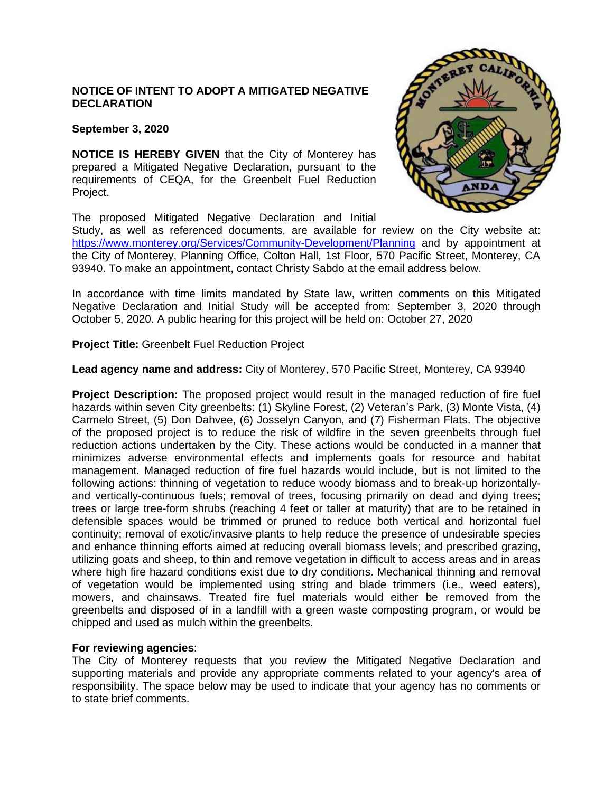# **NOTICE OF INTENT TO ADOPT A MITIGATED NEGATIVE DECLARATION**

### **September 3, 2020**

**NOTICE IS HEREBY GIVEN** that the City of Monterey has prepared a Mitigated Negative Declaration, pursuant to the requirements of CEQA, for the Greenbelt Fuel Reduction Project.

The proposed Mitigated Negative Declaration and Initial

Study, as well as referenced documents, are available for review on the City website at: <https://www.monterey.org/Services/Community-Development/Planning> and by appointment at the City of Monterey, Planning Office, Colton Hall, 1st Floor, 570 Pacific Street, Monterey, CA 93940. To make an appointment, contact Christy Sabdo at the email address below.

In accordance with time limits mandated by State law, written comments on this Mitigated Negative Declaration and Initial Study will be accepted from: September 3, 2020 through October 5, 2020. A public hearing for this project will be held on: October 27, 2020

**Project Title:** Greenbelt Fuel Reduction Project

**Lead agency name and address:** City of Monterey, 570 Pacific Street, Monterey, CA 93940

**Project Description:** The proposed project would result in the managed reduction of fire fuel hazards within seven City greenbelts: (1) Skyline Forest, (2) Veteran's Park, (3) Monte Vista, (4) Carmelo Street, (5) Don Dahvee, (6) Josselyn Canyon, and (7) Fisherman Flats. The objective of the proposed project is to reduce the risk of wildfire in the seven greenbelts through fuel reduction actions undertaken by the City. These actions would be conducted in a manner that minimizes adverse environmental effects and implements goals for resource and habitat management. Managed reduction of fire fuel hazards would include, but is not limited to the following actions: thinning of vegetation to reduce woody biomass and to break-up horizontallyand vertically-continuous fuels; removal of trees, focusing primarily on dead and dying trees; trees or large tree-form shrubs (reaching 4 feet or taller at maturity) that are to be retained in defensible spaces would be trimmed or pruned to reduce both vertical and horizontal fuel continuity; removal of exotic/invasive plants to help reduce the presence of undesirable species and enhance thinning efforts aimed at reducing overall biomass levels; and prescribed grazing, utilizing goats and sheep, to thin and remove vegetation in difficult to access areas and in areas where high fire hazard conditions exist due to dry conditions. Mechanical thinning and removal of vegetation would be implemented using string and blade trimmers (i.e., weed eaters), mowers, and chainsaws. Treated fire fuel materials would either be removed from the greenbelts and disposed of in a landfill with a green waste composting program, or would be chipped and used as mulch within the greenbelts.

### **For reviewing agencies**:

The City of Monterey requests that you review the Mitigated Negative Declaration and supporting materials and provide any appropriate comments related to your agency's area of responsibility. The space below may be used to indicate that your agency has no comments or to state brief comments.